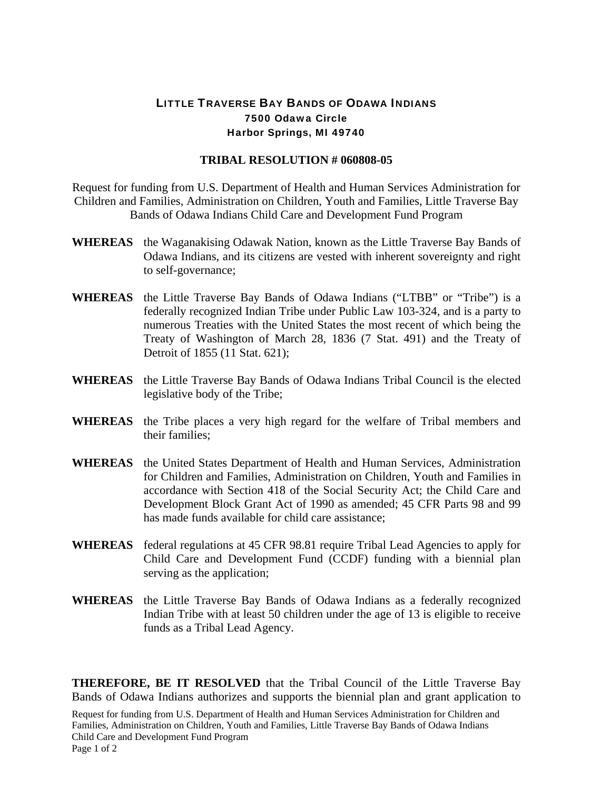## LITTLE TRAVERSE BAY BANDS OF ODAWA INDIANS 7500 Odawa Circle Harbor Springs, MI 49740

## **TRIBAL RESOLUTION # 060808-05**

Request for funding from U.S. Department of Health and Human Services Administration for Children and Families, Administration on Children, Youth and Families, Little Traverse Bay Bands of Odawa Indians Child Care and Development Fund Program

- **WHEREAS** the Waganakising Odawak Nation, known as the Little Traverse Bay Bands of Odawa Indians, and its citizens are vested with inherent sovereignty and right to self-governance;
- **WHEREAS** the Little Traverse Bay Bands of Odawa Indians ("LTBB" or "Tribe") is a federally recognized Indian Tribe under Public Law 103-324, and is a party to numerous Treaties with the United States the most recent of which being the Treaty of Washington of March 28, 1836 (7 Stat. 491) and the Treaty of Detroit of 1855 (11 Stat. 621);
- **WHEREAS** the Little Traverse Bay Bands of Odawa Indians Tribal Council is the elected legislative body of the Tribe;
- **WHEREAS** the Tribe places a very high regard for the welfare of Tribal members and their families;
- **WHEREAS** the United States Department of Health and Human Services, Administration for Children and Families, Administration on Children, Youth and Families in accordance with Section 418 of the Social Security Act; the Child Care and Development Block Grant Act of 1990 as amended; 45 CFR Parts 98 and 99 has made funds available for child care assistance;
- **WHEREAS** federal regulations at 45 CFR 98.81 require Tribal Lead Agencies to apply for Child Care and Development Fund (CCDF) funding with a biennial plan serving as the application;
- **WHEREAS** the Little Traverse Bay Bands of Odawa Indians as a federally recognized Indian Tribe with at least 50 children under the age of 13 is eligible to receive funds as a Tribal Lead Agency.

**THEREFORE, BE IT RESOLVED** that the Tribal Council of the Little Traverse Bay Bands of Odawa Indians authorizes and supports the biennial plan and grant application to

Request for funding from U.S. Department of Health and Human Services Administration for Children and Families, Administration on Children, Youth and Families, Little Traverse Bay Bands of Odawa Indians Child Care and Development Fund Program Page 1 of 2